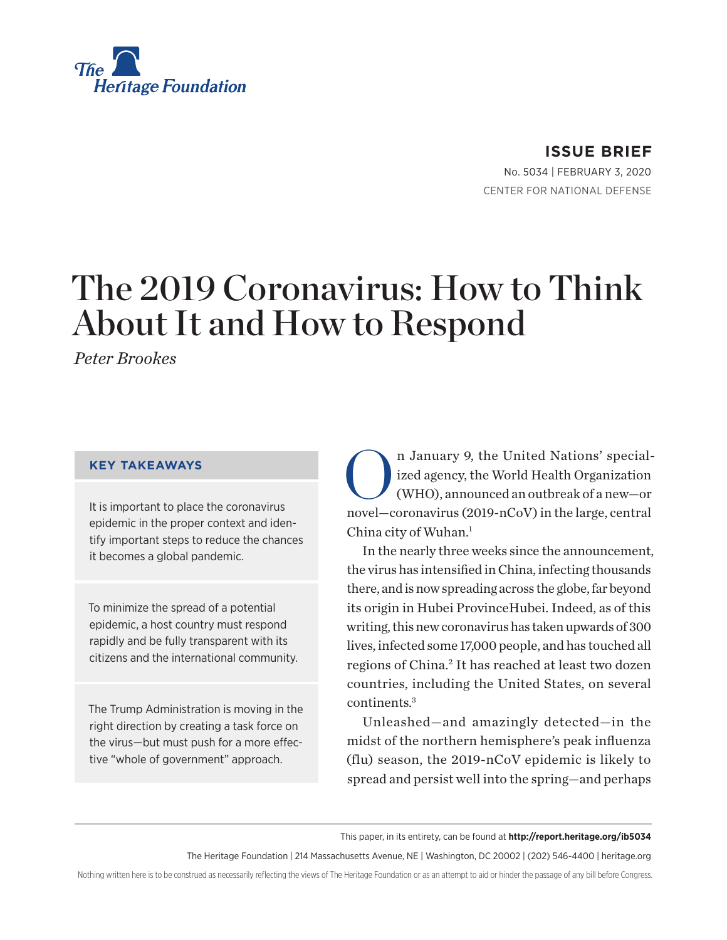

**ISSUE BRIEF**

No. 5034 | February 3, 2020 CENTER FOR NATIONAL DEFENSE

# The 2019 Coronavirus: How to Think About It and How to Respond

*Peter Brookes*

#### **KEY TAKEAWAYS**

It is important to place the coronavirus epidemic in the proper context and identify important steps to reduce the chances it becomes a global pandemic.

To minimize the spread of a potential epidemic, a host country must respond rapidly and be fully transparent with its citizens and the international community.

The Trump Administration is moving in the right direction by creating a task force on the virus—but must push for a more effective "whole of government" approach.

n January 9, the United Nations' special-<br>ized agency, the World Health Organization<br>(WHO), announced an outbreak of a new-or ized agency, the World Health Organization (WHO), announced an outbreak of a new—or novel—coronavirus (2019-nCoV) in the large, central China city of Wuhan.<sup>1</sup>

In the nearly three weeks since the announcement, the virus has intensified in China, infecting thousands there, and is now spreading across the globe, far beyond its origin in Hubei ProvinceHubei. Indeed, as of this writing, this new coronavirus has taken upwards of 300 lives, infected some 17,000 people, and has touched all regions of China.2 It has reached at least two dozen countries, including the United States, on several continents.3

Unleashed—and amazingly detected—in the midst of the northern hemisphere's peak influenza (flu) season, the 2019-nCoV epidemic is likely to spread and persist well into the spring—and perhaps

This paper, in its entirety, can be found at **http://report.heritage.org/ib5034**

The Heritage Foundation | 214 Massachusetts Avenue, NE | Washington, DC 20002 | (202) 546-4400 | heritage.org

Nothing written here is to be construed as necessarily reflecting the views of The Heritage Foundation or as an attempt to aid or hinder the passage of any bill before Congress.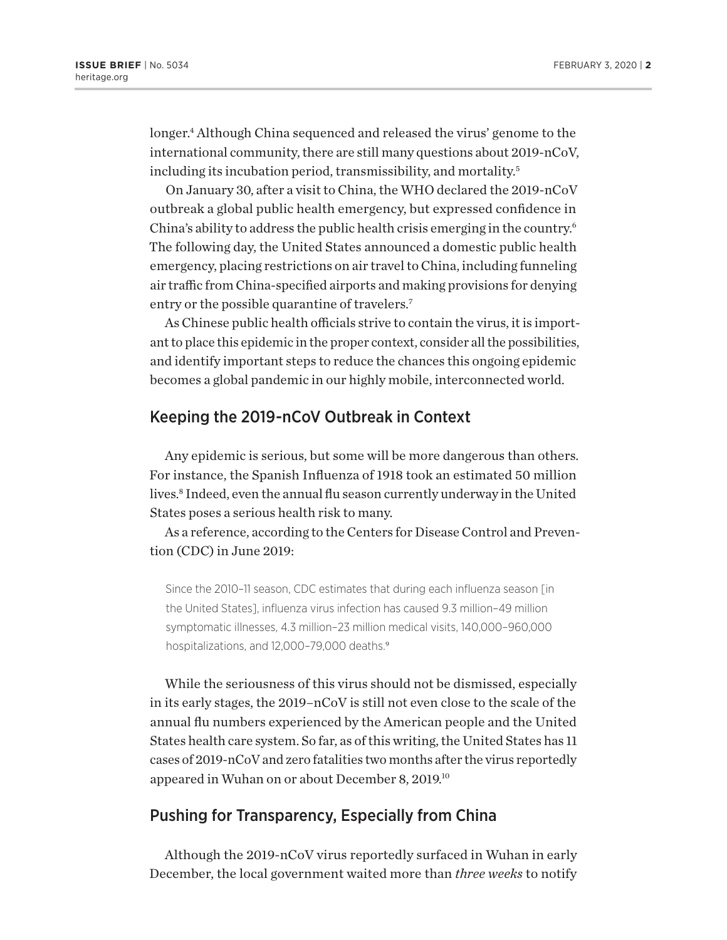longer.4 Although China sequenced and released the virus' genome to the international community, there are still many questions about 2019-nCoV, including its incubation period, transmissibility, and mortality.5

On January 30, after a visit to China, the WHO declared the 2019-nCoV outbreak a global public health emergency, but expressed confidence in China's ability to address the public health crisis emerging in the country.6 The following day, the United States announced a domestic public health emergency, placing restrictions on air travel to China, including funneling air traffic from China-specified airports and making provisions for denying entry or the possible quarantine of travelers.<sup>7</sup>

As Chinese public health officials strive to contain the virus, it is important to place this epidemic in the proper context, consider all the possibilities, and identify important steps to reduce the chances this ongoing epidemic becomes a global pandemic in our highly mobile, interconnected world.

#### Keeping the 2019-nCoV Outbreak in Context

Any epidemic is serious, but some will be more dangerous than others. For instance, the Spanish Influenza of 1918 took an estimated 50 million lives.8 Indeed, even the annual flu season currently underway in the United States poses a serious health risk to many.

As a reference, according to the Centers for Disease Control and Prevention (CDC) in June 2019:

Since the 2010–11 season, CDC estimates that during each influenza season [in the United States], influenza virus infection has caused 9.3 million–49 million symptomatic illnesses, 4.3 million–23 million medical visits, 140,000–960,000 hospitalizations, and 12,000-79,000 deaths.<sup>9</sup>

While the seriousness of this virus should not be dismissed, especially in its early stages, the 2019–nCoV is still not even close to the scale of the annual flu numbers experienced by the American people and the United States health care system. So far, as of this writing, the United States has 11 cases of 2019-nCoV and zero fatalities two months after the virus reportedly appeared in Wuhan on or about December 8, 2019.10

## Pushing for Transparency, Especially from China

Although the 2019-nCoV virus reportedly surfaced in Wuhan in early December, the local government waited more than *three weeks* to notify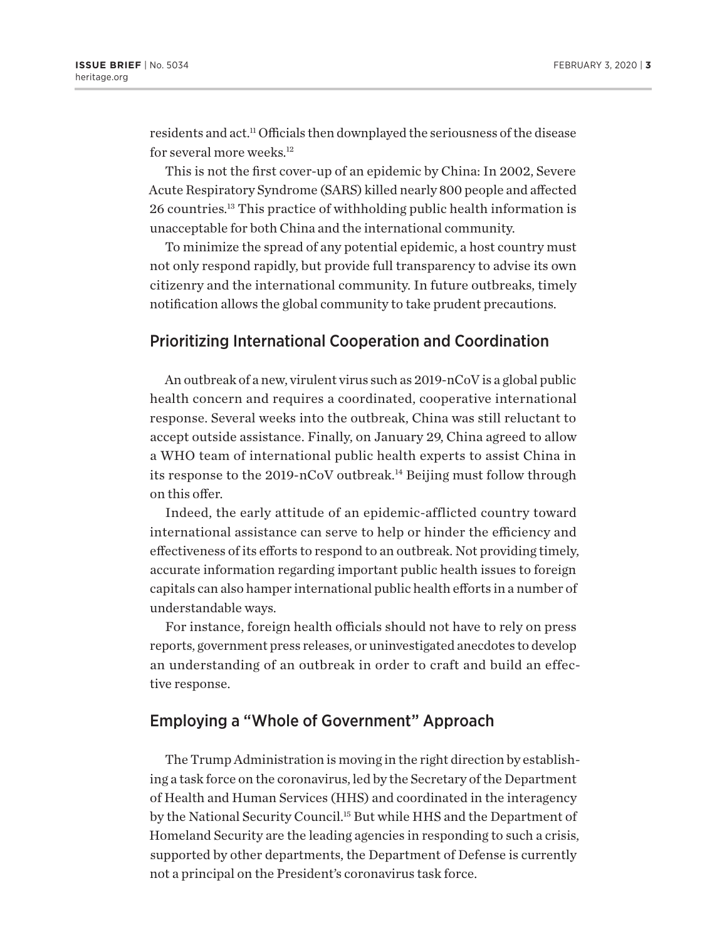residents and act.11 Officials then downplayed the seriousness of the disease for several more weeks.<sup>12</sup>

This is not the first cover-up of an epidemic by China: In 2002, Severe Acute Respiratory Syndrome (SARS) killed nearly 800 people and affected 26 countries.13 This practice of withholding public health information is unacceptable for both China and the international community.

To minimize the spread of any potential epidemic, a host country must not only respond rapidly, but provide full transparency to advise its own citizenry and the international community. In future outbreaks, timely notification allows the global community to take prudent precautions.

## Prioritizing International Cooperation and Coordination

An outbreak of a new, virulent virus such as 2019-nCoV is a global public health concern and requires a coordinated, cooperative international response. Several weeks into the outbreak, China was still reluctant to accept outside assistance. Finally, on January 29, China agreed to allow a WHO team of international public health experts to assist China in its response to the 2019-nCoV outbreak.<sup>14</sup> Beijing must follow through on this offer.

Indeed, the early attitude of an epidemic-afflicted country toward international assistance can serve to help or hinder the efficiency and effectiveness of its efforts to respond to an outbreak. Not providing timely, accurate information regarding important public health issues to foreign capitals can also hamper international public health efforts in a number of understandable ways.

For instance, foreign health officials should not have to rely on press reports, government press releases, or uninvestigated anecdotes to develop an understanding of an outbreak in order to craft and build an effective response.

# Employing a "Whole of Government" Approach

The Trump Administration is moving in the right direction by establishing a task force on the coronavirus, led by the Secretary of the Department of Health and Human Services (HHS) and coordinated in the interagency by the National Security Council.15 But while HHS and the Department of Homeland Security are the leading agencies in responding to such a crisis, supported by other departments, the Department of Defense is currently not a principal on the President's coronavirus task force.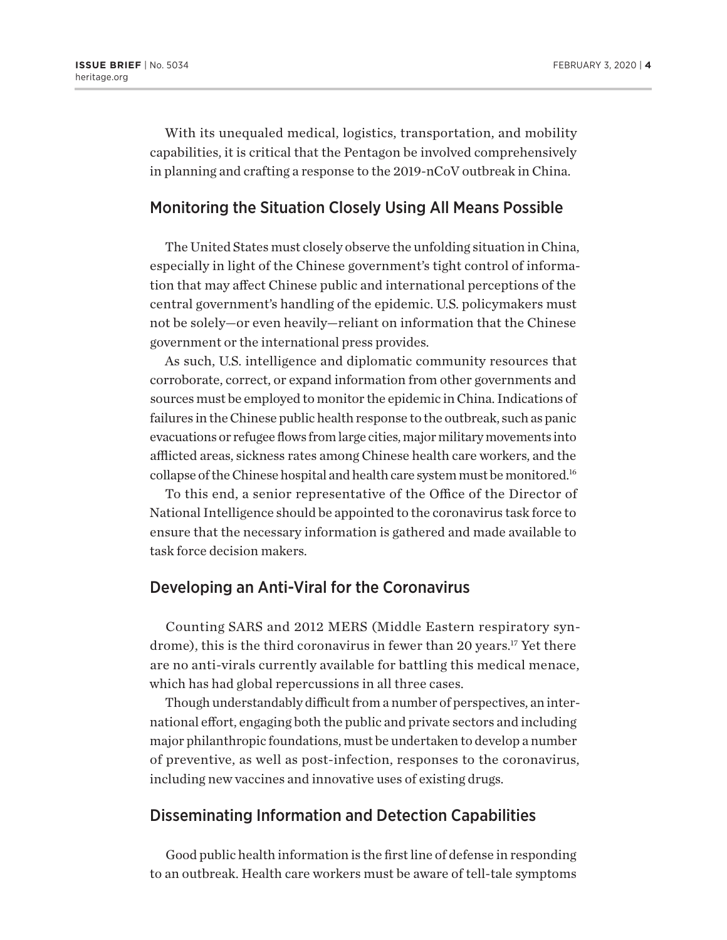With its unequaled medical, logistics, transportation, and mobility capabilities, it is critical that the Pentagon be involved comprehensively in planning and crafting a response to the 2019-nCoV outbreak in China.

#### Monitoring the Situation Closely Using All Means Possible

The United States must closely observe the unfolding situation in China, especially in light of the Chinese government's tight control of information that may affect Chinese public and international perceptions of the central government's handling of the epidemic. U.S. policymakers must not be solely—or even heavily—reliant on information that the Chinese government or the international press provides.

As such, U.S. intelligence and diplomatic community resources that corroborate, correct, or expand information from other governments and sources must be employed to monitor the epidemic in China. Indications of failures in the Chinese public health response to the outbreak, such as panic evacuations or refugee flows from large cities, major military movements into afflicted areas, sickness rates among Chinese health care workers, and the collapse of the Chinese hospital and health care system must be monitored.16

To this end, a senior representative of the Office of the Director of National Intelligence should be appointed to the coronavirus task force to ensure that the necessary information is gathered and made available to task force decision makers.

#### Developing an Anti-Viral for the Coronavirus

Counting SARS and 2012 MERS (Middle Eastern respiratory syndrome), this is the third coronavirus in fewer than 20 years.<sup>17</sup> Yet there are no anti-virals currently available for battling this medical menace, which has had global repercussions in all three cases.

Though understandably difficult from a number of perspectives, an international effort, engaging both the public and private sectors and including major philanthropic foundations, must be undertaken to develop a number of preventive, as well as post-infection, responses to the coronavirus, including new vaccines and innovative uses of existing drugs.

### Disseminating Information and Detection Capabilities

Good public health information is the first line of defense in responding to an outbreak. Health care workers must be aware of tell-tale symptoms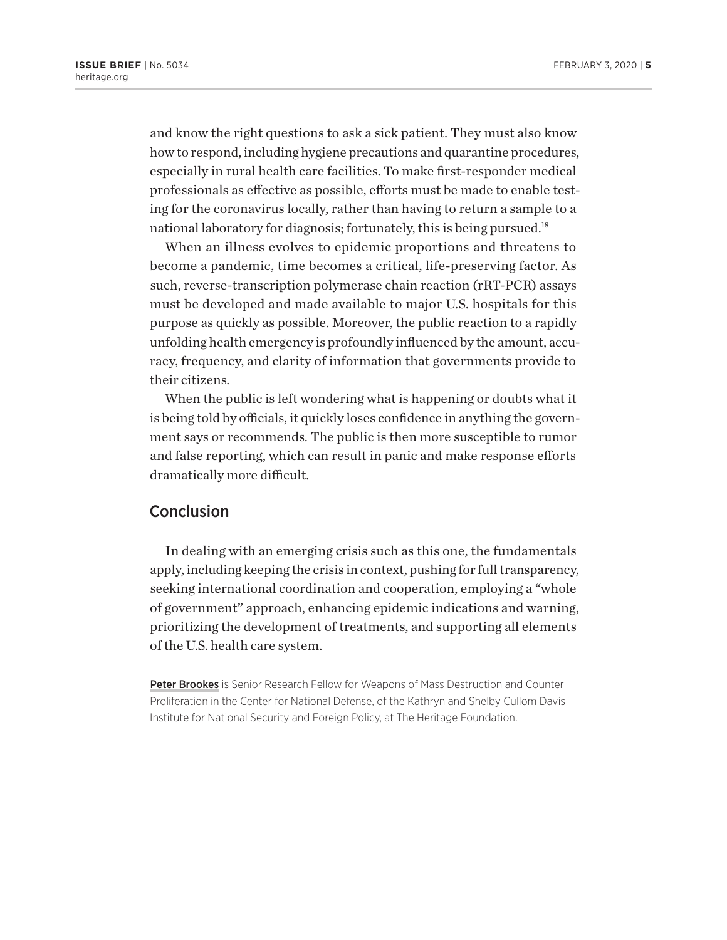and know the right questions to ask a sick patient. They must also know how to respond, including hygiene precautions and quarantine procedures, especially in rural health care facilities. To make first-responder medical professionals as effective as possible, efforts must be made to enable testing for the coronavirus locally, rather than having to return a sample to a national laboratory for diagnosis; fortunately, this is being pursued.<sup>18</sup>

When an illness evolves to epidemic proportions and threatens to become a pandemic, time becomes a critical, life-preserving factor. As such, reverse-transcription polymerase chain reaction (rRT-PCR) assays must be developed and made available to major U.S. hospitals for this purpose as quickly as possible. Moreover, the public reaction to a rapidly unfolding health emergency is profoundly influenced by the amount, accuracy, frequency, and clarity of information that governments provide to their citizens.

When the public is left wondering what is happening or doubts what it is being told by officials, it quickly loses confidence in anything the government says or recommends. The public is then more susceptible to rumor and false reporting, which can result in panic and make response efforts dramatically more difficult.

#### Conclusion

In dealing with an emerging crisis such as this one, the fundamentals apply, including keeping the crisis in context, pushing for full transparency, seeking international coordination and cooperation, employing a "whole of government" approach, enhancing epidemic indications and warning, prioritizing the development of treatments, and supporting all elements of the U.S. health care system.

Peter Brookes is Senior Research Fellow for Weapons of Mass Destruction and Counter Proliferation in the Center for National Defense, of the Kathryn and Shelby Cullom Davis Institute for National Security and Foreign Policy, at The Heritage Foundation.